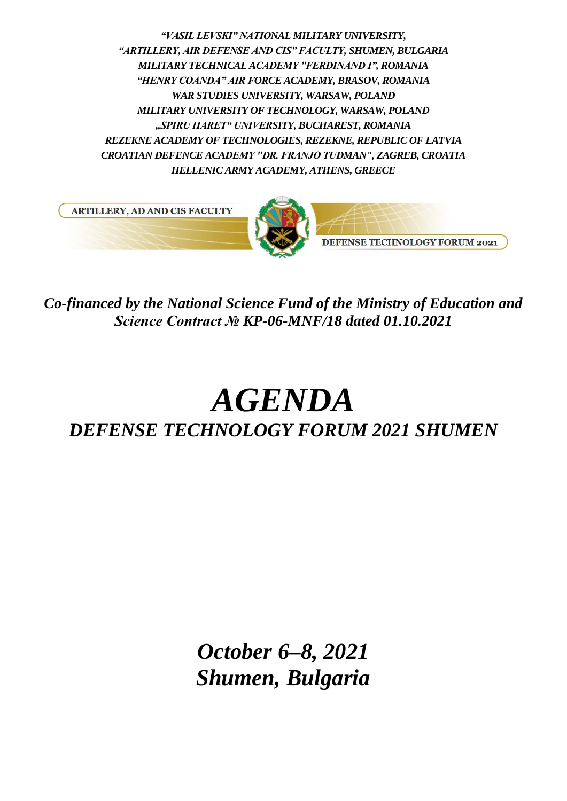*"VASIL LEVSKI" NATIONAL MILITARY UNIVERSITY, "ARTILLERY, AIR DEFENSE AND CIS" FACULTY, SHUMEN, BULGARIA MILITARY TECHNICAL ACADEMY "FERDINAND I", ROMANIA "HENRY COANDA" AIR FORCE ACADEMY, BRASOV, ROMANIA WAR STUDIES UNIVERSITY, WARSAW, POLAND MILITARY UNIVERSITY OF TECHNOLOGY, WARSAW, POLAND "SPIRU HARET" UNIVERSITY, BUCHAREST, ROMANIA REZEKNE ACADEMY OF TECHNOLOGIES, REZEKNE, REPUBLIC OF LATVIA CROATIAN DEFENCE ACADEMY "DR. FRANJO TUĐMAN", ZAGREB, CROATIA HELLENIC ARMY ACADEMY, ATHENS, GREECE*



*Co-financed by the National Science Fund of the Ministry of Education and Science Contract № KP-06-MNF/18 dated 01.10.2021*

# *AGENDA DEFENSE TECHNOLOGY FORUM 2021 SHUMEN*

*October 6–8, 2021 Shumen, Bulgaria*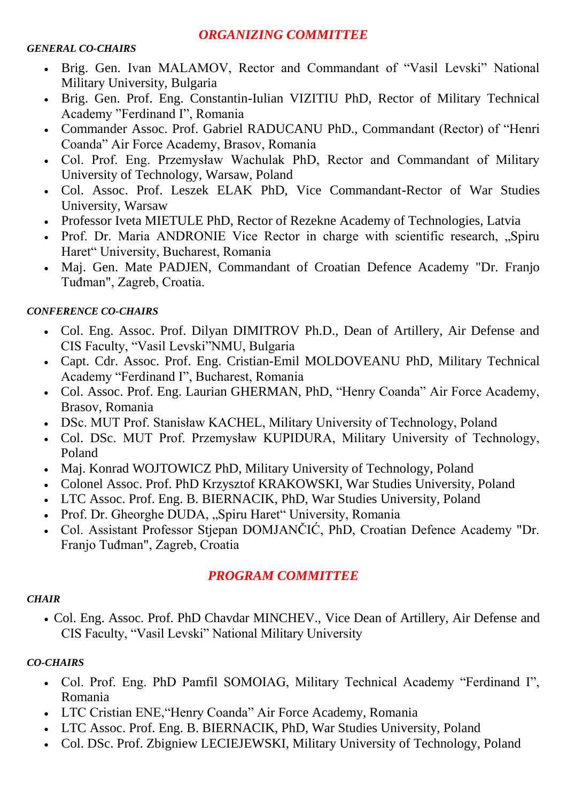#### *ORGANIZING COMMITTEE*

#### *GENERAL CO-CHAIRS*

- Brig. Gen. Ivan MALAMOV, Rector and Commandant of "Vasil Levski" National Military University, Bulgaria
- Brig. Gen. Prof. Eng. Constantin-Iulian VIZITIU PhD, Rector of Military Technical Academy "Ferdinand I", Romania
- Commander Assoc. Prof. Gabriel RADUCANU PhD., Commandant (Rector) of "Henri Coanda" Air Force Academy, Brasov, Romania
- Col. Prof. Eng. Przemysław Wachulak PhD, Rector and Commandant of Military University of Technology, Warsaw, Poland
- Col. Assoc. Prof. Leszek ELAK PhD, Vice Commandant-Rector of War Studies University, Warsaw
- Professor Iveta MIETULE PhD, Rector of Rezekne Academy of Technologies, Latvia
- Prof. Dr. Maria ANDRONIE Vice Rector in charge with scientific research, ...Spiru Haret" University, Bucharest, Romania
- Maj. Gen. Mate PADJEN, Commandant of Croatian Defence Academy "Dr. Franjo Tuđman", Zagreb, Croatia.

#### *CONFERENCE CO-CHAIRS*

- Col. Eng. Assoc. Prof. Dilyan DIMITROV Ph.D., Dean of Artillery, Air Defense and CIS Faculty, "Vasil Levski"NMU, Bulgaria
- Capt. Cdr. Assoc. Prof. Eng. Cristian-Emil MOLDOVEANU PhD, Military Technical Academy "Ferdinand I", Bucharest, Romania
- Col. Assoc. Prof. Eng. Laurian GHERMAN, PhD, "Henry Coanda" Air Force Academy, Brasov, Romania
- DSc. MUT Prof. Stanisław KACHEL, Military University of Technology, Poland
- Col. DSc. MUT Prof. Przemysław KUPIDURA, Military University of Technology, Poland
- Maj. Konrad WOJTOWICZ PhD, Military University of Technology, Poland
- Colonel Assoc. Prof. PhD Krzysztof KRAKOWSKI, War Studies University, Poland
- LTC Assoc. Prof. Eng. B. BIERNACIK, PhD, War Studies University, Poland
- Prof. Dr. Gheorghe DUDA, "Spiru Haret" University, Romania
- Col. Assistant Professor Stjepan DOMJANČIĆ, PhD, Croatian Defence Academy "Dr. Franjo Tuđman", Zagreb, Croatia

## *PROGRAM COMMITTEE*

#### *CHAIR*

 Col. Eng. Assoc. Prof. PhD Chavdar MINCHEV., Vice Dean of Artillery, Air Defense and CIS Faculty, "Vasil Levski" National Military University

#### *CO-CHAIRS*

- Col. Prof. Eng. PhD Pamfil SOMOIAG, Military Technical Academy "Ferdinand I", Romania
- LTC Cristian ENE,"Henry Coanda" Air Force Academy, Romania
- LTC Assoc. Prof. Eng. B. BIERNACIK, PhD, War Studies University, Poland
- Col. DSc. Prof. Zbigniew LECIEJEWSKI, Military University of Technology, Poland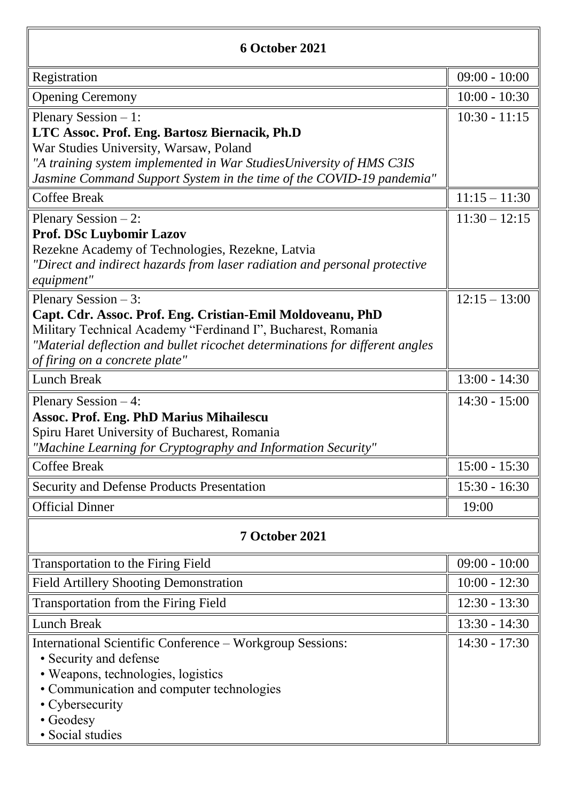| 6 October 2021                                                                                                                                                                                                                                                         |                 |  |
|------------------------------------------------------------------------------------------------------------------------------------------------------------------------------------------------------------------------------------------------------------------------|-----------------|--|
| Registration                                                                                                                                                                                                                                                           | $09:00 - 10:00$ |  |
| <b>Opening Ceremony</b>                                                                                                                                                                                                                                                | $10:00 - 10:30$ |  |
| Plenary Session $-1$ :<br>LTC Assoc. Prof. Eng. Bartosz Biernacik, Ph.D<br>War Studies University, Warsaw, Poland<br>"A training system implemented in War StudiesUniversity of HMS C3IS<br>Jasmine Command Support System in the time of the COVID-19 pandemia"       | $10:30 - 11:15$ |  |
| <b>Coffee Break</b>                                                                                                                                                                                                                                                    | $11:15 - 11:30$ |  |
| Plenary Session $-2$ :<br>Prof. DSc Luybomir Lazov<br>Rezekne Academy of Technologies, Rezekne, Latvia<br>"Direct and indirect hazards from laser radiation and personal protective<br>equipment"                                                                      | $11:30 - 12:15$ |  |
| Plenary Session $-3$ :<br>Capt. Cdr. Assoc. Prof. Eng. Cristian-Emil Moldoveanu, PhD<br>Military Technical Academy "Ferdinand I", Bucharest, Romania<br>"Material deflection and bullet ricochet determinations for different angles<br>of firing on a concrete plate" | $12:15 - 13:00$ |  |
| <b>Lunch Break</b>                                                                                                                                                                                                                                                     | $13:00 - 14:30$ |  |
| Plenary Session $-4$ :<br><b>Assoc. Prof. Eng. PhD Marius Mihailescu</b><br>Spiru Haret University of Bucharest, Romania<br>"Machine Learning for Cryptography and Information Security"                                                                               | $14:30 - 15:00$ |  |
| <b>Coffee Break</b>                                                                                                                                                                                                                                                    | $15:00 - 15:30$ |  |
| Security and Defense Products Presentation                                                                                                                                                                                                                             | $15:30 - 16:30$ |  |
| <b>Official Dinner</b>                                                                                                                                                                                                                                                 | 19:00           |  |
| 7 October 2021                                                                                                                                                                                                                                                         |                 |  |
| Transportation to the Firing Field                                                                                                                                                                                                                                     | $09:00 - 10:00$ |  |
| <b>Field Artillery Shooting Demonstration</b>                                                                                                                                                                                                                          | $10:00 - 12:30$ |  |
| Transportation from the Firing Field                                                                                                                                                                                                                                   | $12:30 - 13:30$ |  |
| <b>Lunch Break</b>                                                                                                                                                                                                                                                     | $13:30 - 14:30$ |  |
| International Scientific Conference – Workgroup Sessions:<br>• Security and defense<br>• Weapons, technologies, logistics<br>• Communication and computer technologies<br>• Cybersecurity<br>• Geodesy<br>· Social studies                                             | $14:30 - 17:30$ |  |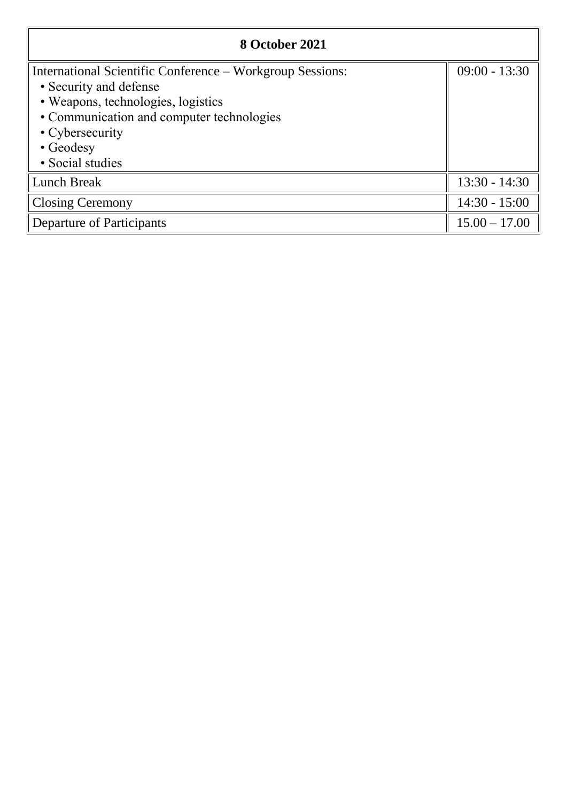| 8 October 2021                                            |                 |
|-----------------------------------------------------------|-----------------|
| International Scientific Conference – Workgroup Sessions: | $09:00 - 13:30$ |
| • Security and defense                                    |                 |
| • Weapons, technologies, logistics                        |                 |
| • Communication and computer technologies                 |                 |
| • Cybersecurity                                           |                 |
| • Geodesy                                                 |                 |
| · Social studies                                          |                 |
| <b>Lunch Break</b>                                        | $13:30 - 14:30$ |
| <b>Closing Ceremony</b>                                   | $14:30 - 15:00$ |
| Departure of Participants                                 | $15.00 - 17.00$ |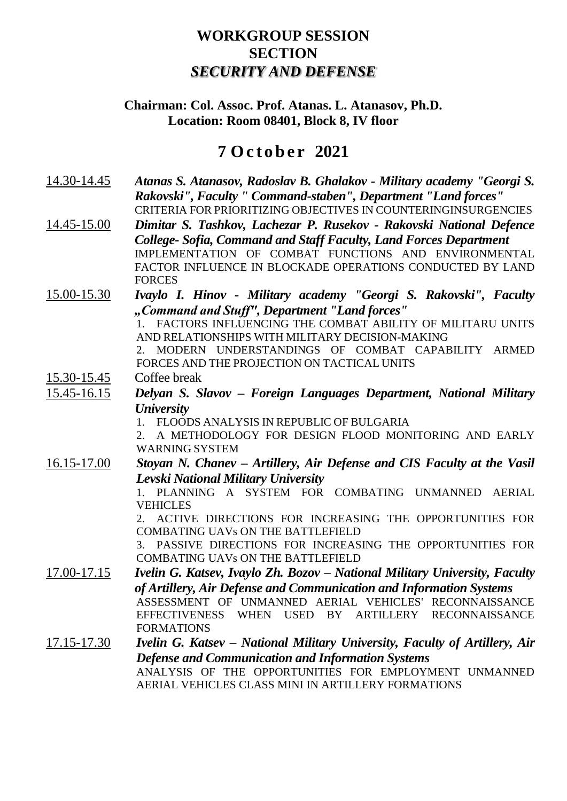## **WORKGROUP SESSION SECTION** *SECURITY AND DEFENSE*

#### **Chairman: Col. Assoc. Prof. Atanas. L. Atanasov, Ph.D. Location: Room 08401, Block 8, IV floor**

## **7 O c t o b e r 2021**

- 14.30-14.45 *Atanas S. Atanasov, Radoslav B. Ghalakov - Military academy "Georgi S. Rakovski", Faculty " Command-staben", Department "Land forces"* CRITERIA FOR PRIORITIZING OBJECTIVES IN COUNTERINGINSURGENCIES
- 14.45-15.00 *Dimitar S. Tashkov, Lachezar P. Rusekov - Rakovski National Defence College- Sofia, Command and Staff Faculty, Land Forces Department* IMPLEMENTATION OF COMBAT FUNCTIONS AND ENVIRONMENTAL FACTOR INFLUENCE IN BLOCKADE OPERATIONS CONDUCTED BY LAND FORCES
- 15.00-15.30 *Ivaylo I. Hinov - Military academy "Georgi S. Rakovski", Faculty "Command and Stuff", Department "Land forces"*

1. FACTORS INFLUENCING THE COMBAT ABILITY OF MILITARU UNITS AND RELATIONSHIPS WITH MILITARY DECISION-MAKING

2. MODERN UNDERSTANDINGS OF COMBAT CAPABILITY ARMED FORCES AND THE PROJECTION ON TACTICAL UNITS

- 15.30-15.45 Coffee break
- 15.45-16.15 *Delyan S. Slavov – Foreign Languages Department, National Military University*

1. FLOODS ANALYSIS IN REPUBLIC OF BULGARIA

2. A METHODOLOGY FOR DESIGN FLOOD MONITORING AND EARLY WARNING SYSTEM

16.15-17.00 *Stoyan N. Chanev – Artillery, Air Defense and CIS Faculty at the Vasil Levski National Military University*

1. PLANNING A SYSTEM FOR COMBATING UNMANNED AERIAL VEHICLES

2. ACTIVE DIRECTIONS FOR INCREASING THE OPPORTUNITIES FOR COMBATING UAVs ON THE BATTLEFIELD

3. PASSIVE DIRECTIONS FOR INCREASING THE OPPORTUNITIES FOR COMBATING UAVs ON THE BATTLEFIELD

17.00-17.15 *Ivelin G. Katsev, Ivaylo Zh. Bozov – National Military University, Faculty of Artillery, Air Defense and Communication and Information Systems* ASSESSMENT OF UNMANNED AERIAL VEHICLES' RECONNAISSANCE EFFECTIVENESS WHEN USED BY ARTILLERY RECONNAISSANCE FORMATIONS

17.15-17.30 *Ivelin G. Katsev – National Military University, Faculty of Artillery, Air Defense and Communication and Information Systems* ANALYSIS OF THE OPPORTUNITIES FOR EMPLOYMENT UNMANNED AERIAL VEHICLES CLASS MINI IN ARTILLERY FORMATIONS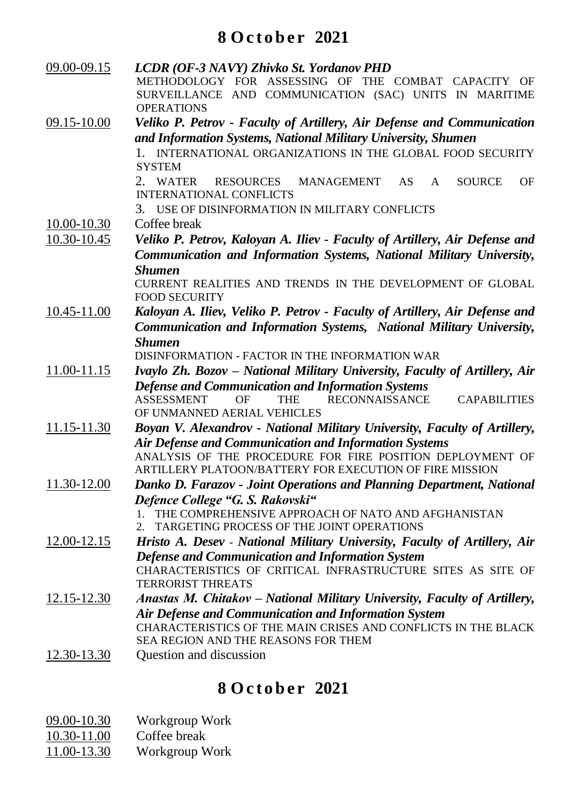# **8 O c t o b e r 2021**

| 09.00-09.15     | LCDR (OF-3 NAVY) Zhivko St. Yordanov PHD<br>METHODOLOGY FOR ASSESSING OF THE COMBAT CAPACITY OF<br>SURVEILLANCE AND COMMUNICATION (SAC) UNITS IN MARITIME |
|-----------------|-----------------------------------------------------------------------------------------------------------------------------------------------------------|
|                 | <b>OPERATIONS</b>                                                                                                                                         |
| 09.15-10.00     | Veliko P. Petrov - Faculty of Artillery, Air Defense and Communication<br>and Information Systems, National Military University, Shumen                   |
|                 | 1. INTERNATIONAL ORGANIZATIONS IN THE GLOBAL FOOD SECURITY                                                                                                |
|                 | <b>SYSTEM</b>                                                                                                                                             |
|                 | 2. WATER<br>RESOURCES MANAGEMENT<br><b>SOURCE</b><br><b>OF</b><br>AS.<br>A                                                                                |
|                 | <b>INTERNATIONAL CONFLICTS</b>                                                                                                                            |
|                 | USE OF DISINFORMATION IN MILITARY CONFLICTS<br>3.                                                                                                         |
| $10.00 - 10.30$ | Coffee break                                                                                                                                              |
| 10.30-10.45     | Veliko P. Petrov, Kaloyan A. Iliev - Faculty of Artillery, Air Defense and                                                                                |
|                 | Communication and Information Systems, National Military University,                                                                                      |
|                 | <b>Shumen</b>                                                                                                                                             |
|                 | CURRENT REALITIES AND TRENDS IN THE DEVELOPMENT OF GLOBAL<br><b>FOOD SECURITY</b>                                                                         |
| 10.45-11.00     | Kaloyan A. Iliev, Veliko P. Petrov - Faculty of Artillery, Air Defense and                                                                                |
|                 | Communication and Information Systems, National Military University,                                                                                      |
|                 | <b>Shumen</b>                                                                                                                                             |
|                 | DISINFORMATION - FACTOR IN THE INFORMATION WAR                                                                                                            |
| 11.00-11.15     | Ivaylo Zh. Bozov – National Military University, Faculty of Artillery, Air                                                                                |
|                 | <b>Defense and Communication and Information Systems</b>                                                                                                  |
|                 | <b>RECONNAISSANCE</b><br><b>ASSESSMENT</b><br><b>CAPABILITIES</b><br>OΕ<br>THE                                                                            |
|                 | OF UNMANNED AERIAL VEHICLES                                                                                                                               |
| 11.15-11.30     | Boyan V. Alexandrov - National Military University, Faculty of Artillery,                                                                                 |
|                 | <b>Air Defense and Communication and Information Systems</b><br>ANALYSIS OF THE PROCEDURE FOR FIRE POSITION DEPLOYMENT OF                                 |
|                 | ARTILLERY PLATOON/BATTERY FOR EXECUTION OF FIRE MISSION                                                                                                   |
| 11.30-12.00     | Danko D. Farazov - Joint Operations and Planning Department, National                                                                                     |
|                 | Defence College "G. S. Rakovski"                                                                                                                          |
|                 | THE COMPREHENSIVE APPROACH OF NATO AND AFGHANISTAN                                                                                                        |
|                 | TARGETING PROCESS OF THE JOINT OPERATIONS<br>2.                                                                                                           |
| 12.00-12.15     | Hristo A. Desev - National Military University, Faculty of Artillery, Air                                                                                 |
|                 | <b>Defense and Communication and Information System</b>                                                                                                   |
|                 | CHARACTERISTICS OF CRITICAL INFRASTRUCTURE SITES AS SITE OF<br><b>TERRORIST THREATS</b>                                                                   |
| 12.15-12.30     | Anastas M. Chitakov – National Military University, Faculty of Artillery,                                                                                 |
|                 | Air Defense and Communication and Information System                                                                                                      |
|                 | CHARACTERISTICS OF THE MAIN CRISES AND CONFLICTS IN THE BLACK                                                                                             |
|                 | SEA REGION AND THE REASONS FOR THEM                                                                                                                       |
| 12.30-13.30     | Question and discussion                                                                                                                                   |
|                 |                                                                                                                                                           |

- $\underline{09.00-10.30}$  Workgroup Work<br> $\underline{10.30-11.00}$  Coffee break
- 
- $\frac{10.30-11.00}{11.00-13.30}$  Coffee break<br>Workgroup V Workgroup Work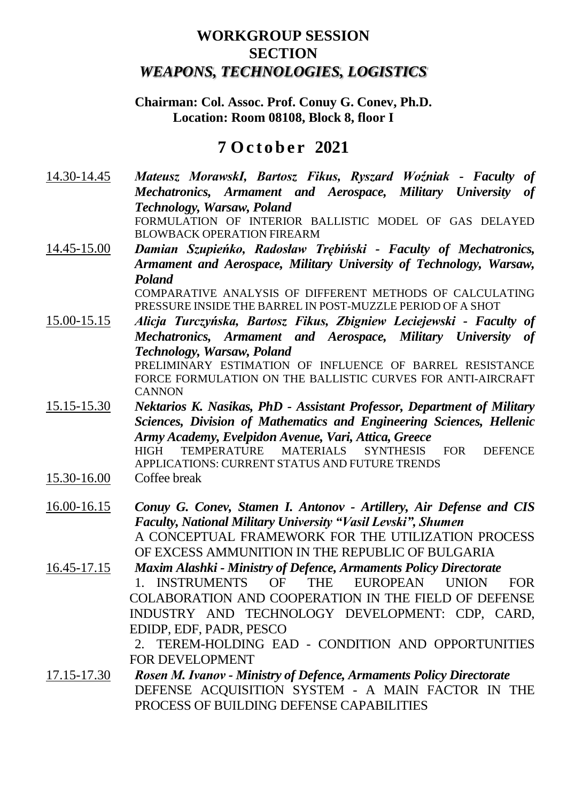## **WORKGROUP SESSION SECTION** *WEAPONS, TECHNOLOGIES, LOGISTICS*

#### **Chairman: Col. Assoc. Prof. Conuy G. Conev, Ph.D. Location: Room 08108, Block 8, floor I**

## **7 O c t o b e r 2021**

- 14.30-14.45 *Mateusz MorawskI, Bartosz Fikus, Ryszard Woźniak - Faculty of Mechatronics, Armament and Aerospace, Military University of Technology, Warsaw, Poland* FORMULATION OF INTERIOR BALLISTIC MODEL OF GAS DELAYED BLOWBACK OPERATION FIREARM
- 14.45-15.00 *Damian Szupieńko, Radosław Trębiński - Faculty of Mechatronics, Armament and Aerospace, Military University of Technology, Warsaw, Poland*

COMPARATIVE ANALYSIS OF DIFFERENT METHODS OF CALCULATING PRESSURE INSIDE THE BARREL IN POST-MUZZLE PERIOD OF A SHOT

15.00-15.15 *Alicja Turczyńska, Bartosz Fikus, Zbigniew Leciejewski - Faculty of Mechatronics, Armament and Aerospace, Military University of Technology, Warsaw, Poland* PRELIMINARY ESTIMATION OF INFLUENCE OF BARREL RESISTANCE

FORCE FORMULATION ON THE BALLISTIC CURVES FOR ANTI-AIRCRAFT CANNON

- 15.15-15.30 *Nektarios K. Nasikas, PhD - Assistant Professor, Department of Military Sciences, Division of Mathematics and Engineering Sciences, Hellenic Army Academy, Evelpidon Avenue, Vari, Attica, Greece* HIGH TEMPERATURE MATERIALS SYNTHESIS FOR DEFENCE APPLICATIONS: CURRENT STATUS AND FUTURE TRENDS
- 15.30-16.00 Coffee break
- 16.00-16.15 *Conuy G. Conev, Stamen I. Antonov - Artillery, Air Defense and CIS Faculty, National Military University "Vasil Levski", Shumen* A CONCEPTUAL FRAMEWORK FOR THE UTILIZATION PROCESS OF EXCESS AMMUNITION IN THE REPUBLIC OF BULGARIA
- 16.45-17.15 *Maxim Alashki - Ministry of Defence, Armaments Policy Directorate* 1. INSTRUMENTS OF THE EUROPEAN UNION FOR COLABORATION AND COOPERATION IN THE FIELD OF DEFENSE INDUSTRY AND TECHNOLOGY DEVELOPMENT: CDP, CARD, EDIDP, EDF, PADR, PESCO

2. TEREM-HOLDING EAD - CONDITION AND OPPORTUNITIES FOR DEVELOPMENT

17.15-17.30 *Rosen М. Ivanov - Ministry of Defence, Armaments Policy Directorate* DEFENSE ACQUISITION SYSTEM - A MAIN FACTOR IN THE PROCESS OF BUILDING DEFENSE CAPABILITIES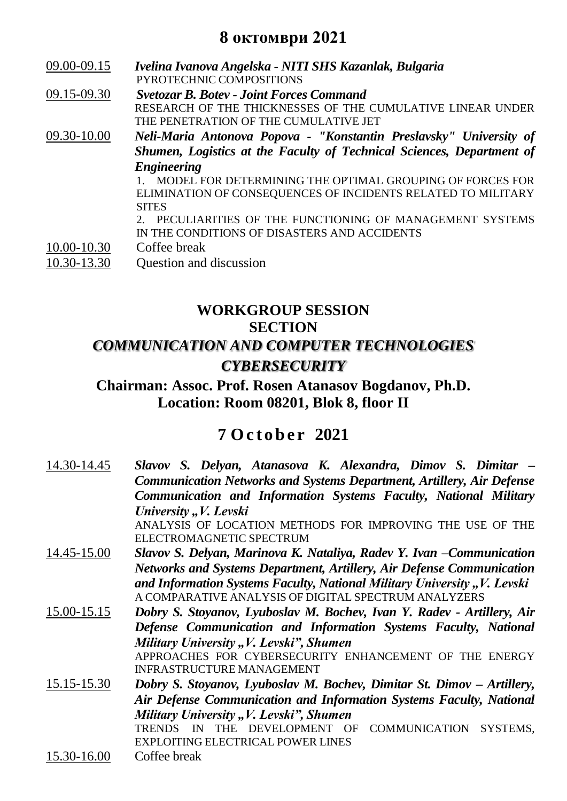## **8 октомври 2021**

- 09.00-09.15 *Ivelina Ivanova Angelska - NITI SHS Kazanlak, Bulgaria* PYROTECHNIC COMPOSITIONS
- 09.15-09.30 *Svetozar B. Botev - Joint Forces Command* RESEARCH OF THE THICKNESSES OF THE CUMULATIVE LINEAR UNDER THE PENETRATION OF THE CUMULATIVE JET
- 09.30-10.00 *Neli-Maria Antonova Popova - "Konstantin Preslavsky" University of Shumen, Logistics at the Faculty of Technical Sciences, Department of Engineering*

1. MODEL FOR DETERMINING THE OPTIMAL GROUPING OF FORCES FOR ELIMINATION OF CONSEQUENCES OF INCIDENTS RELATED TO MILITARY **SITES** 

2. PECULIARITIES OF THE FUNCTIONING OF MANAGEMENT SYSTEMS IN THE CONDITIONS OF DISASTERS AND ACCIDENTS

10.00-10.30 Coffee break

10.30-13.30 Question and discussion

## **WORKGROUP SESSION SECTION** *COMMUNICATION AND COMPUTER TECHNOLOGIES CYBERSECURITY*

## **Chairman: Assoc. Prof. Rosen Atanasov Bogdanov, Ph.D. Location: Room 08201, Blok 8, floor II**

| 14.30-14.45                                                         | Slavov S. Delyan, Atanasova K. Alexandra, Dimov S. Dimitar –                     |
|---------------------------------------------------------------------|----------------------------------------------------------------------------------|
|                                                                     | <b>Communication Networks and Systems Department, Artillery, Air Defense</b>     |
|                                                                     | Communication and Information Systems Faculty, National Military                 |
|                                                                     | University "V. Levski                                                            |
|                                                                     | ANALYSIS OF LOCATION METHODS FOR IMPROVING THE USE OF THE                        |
|                                                                     | ELECTROMAGNETIC SPECTRUM                                                         |
| 14.45-15.00                                                         | Slavov S. Delyan, Marinova K. Nataliya, Radev Y. Ivan - Communication            |
|                                                                     | <b>Networks and Systems Department, Artillery, Air Defense Communication</b>     |
|                                                                     | and Information Systems Faculty, National Military University "V. Levski         |
|                                                                     | A COMPARATIVE ANALYSIS OF DIGITAL SPECTRUM ANALYZERS                             |
| 15.00-15.15                                                         | Dobry S. Stoyanov, Lyuboslav M. Bochev, Ivan Y. Radev - Artillery, Air           |
|                                                                     | Defense Communication and Information Systems Faculty, National                  |
|                                                                     | Military University " <i>V. Levski"</i> , Shumen                                 |
|                                                                     | APPROACHES FOR CYBERSECURITY ENHANCEMENT OF THE ENERGY                           |
|                                                                     | INFRASTRUCTURE MANAGEMENT                                                        |
| 15.15-15.30                                                         | Dobry S. Stoyanov, Lyuboslav M. Bochev, Dimitar St. Dimov – Artillery,           |
| Air Defense Communication and Information Systems Faculty, National |                                                                                  |
|                                                                     | Military University "V. Levski", Shumen                                          |
|                                                                     | <b>COMMUNICATION</b><br>DEVELOPMENT OF<br>SYSTEMS,<br><b>TRENDS</b><br>IN<br>THE |
|                                                                     | <b>EXPLOITING ELECTRICAL POWER LINES</b>                                         |
| 15.30-16.00                                                         | Coffee break                                                                     |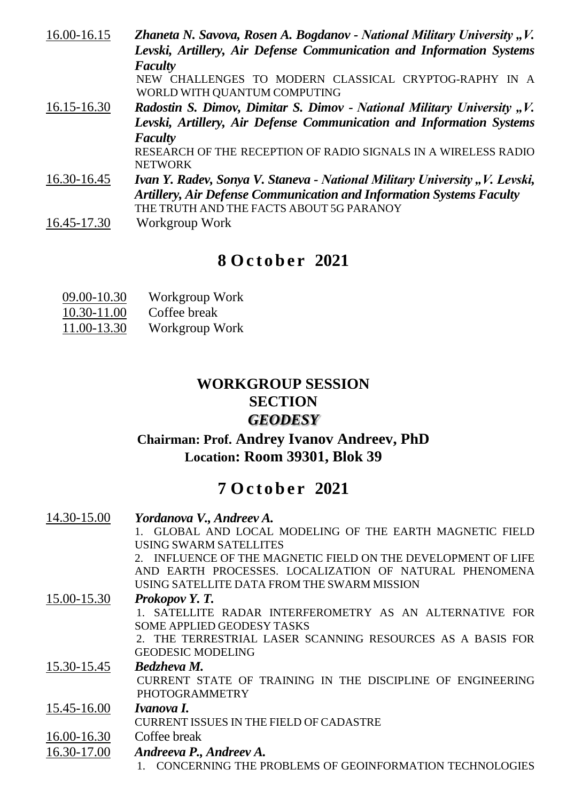| 16.00-16.15                                                          | Zhaneta N. Savova, Rosen A. Bogdanov - National Military University "V.     |
|----------------------------------------------------------------------|-----------------------------------------------------------------------------|
|                                                                      | Levski, Artillery, Air Defense Communication and Information Systems        |
|                                                                      | <b>Faculty</b>                                                              |
|                                                                      | NEW CHALLENGES TO MODERN CLASSICAL CRYPTOG-RAPHY IN A                       |
|                                                                      | WORLD WITH QUANTUM COMPUTING                                                |
| $16.15 - 16.30$                                                      | Radostin S. Dimov, Dimitar S. Dimov - National Military University "V.      |
| Levski, Artillery, Air Defense Communication and Information Systems |                                                                             |
|                                                                      | <b>Faculty</b>                                                              |
|                                                                      | RESEARCH OF THE RECEPTION OF RADIO SIGNALS IN A WIRELESS RADIO              |
|                                                                      | <b>NETWORK</b>                                                              |
| 16.30-16.45                                                          | Ivan Y. Radev, Sonya V. Staneva - National Military University "V. Levski,  |
|                                                                      | <b>Artillery, Air Defense Communication and Information Systems Faculty</b> |
|                                                                      | THE TRUTH AND THE FACTS ABOUT 5G PARANOY                                    |
| 16.45-17.30                                                          | Workgroup Work                                                              |

# **8 O c t o b e r 2021**

| 09.00-10.30 | Workgroup Work |
|-------------|----------------|
| 10.30-11.00 | Coffee break   |
| 11.00-13.30 | Workgroup Work |

## **WORKGROUP SESSION SECTION** *GEODESY*

## **Chairman: Prof. Andrey Ivanov Andreev, PhD Location: Room 39301, Blok 39**

# **7 O c t o b e r 2021**

| 14.30-15.00 | Yordanova V., Andreev A.                                      |
|-------------|---------------------------------------------------------------|
|             | 1. GLOBAL AND LOCAL MODELING OF THE EARTH MAGNETIC FIELD      |
|             | USING SWARM SATELLITES                                        |
|             | 2. INFLUENCE OF THE MAGNETIC FIELD ON THE DEVELOPMENT OF LIFE |
|             | AND EARTH PROCESSES. LOCALIZATION OF NATURAL PHENOMENA        |
|             | USING SATELLITE DATA FROM THE SWARM MISSION                   |
| 15.00-15.30 | Prokopov Y.T.                                                 |
|             | 1. SATELLITE RADAR INTERFEROMETRY AS AN ALTERNATIVE FOR       |
|             | <b>SOME APPLIED GEODESY TASKS</b>                             |
|             | 2. THE TERRESTRIAL LASER SCANNING RESOURCES AS A BASIS FOR    |
|             | <b>GEODESIC MODELING</b>                                      |
| 15.30-15.45 | <b>Bedzheva M.</b>                                            |
|             | CURRENT STATE OF TRAINING IN THE DISCIPLINE OF ENGINEERING    |
|             | <b>PHOTOGRAMMETRY</b>                                         |
| 15.45-16.00 | Ivanova I.                                                    |
|             | <b>CURRENT ISSUES IN THE FIELD OF CADASTRE</b>                |
| 16.00-16.30 | Coffee break                                                  |
| 16.30-17.00 | Andreeva P., Andreev A.                                       |
|             | COMCEDNING THE BRODI EMC OF CEOINEODMATION TECHNOLOGIES       |

1. CONCERNING THE PROBLEMS OF GEOINFORMATION TECHNOLOGIES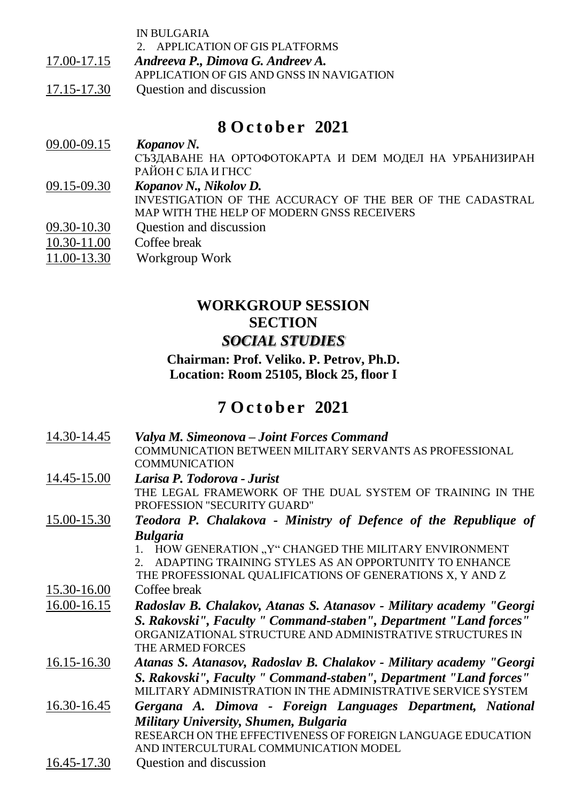|             | <b>IN BULGARIA</b><br>2. APPLICATION OF GIS PLATFORMS |
|-------------|-------------------------------------------------------|
| 17.00-17.15 | Andreeva P., Dimova G. Andreev A.                     |
|             | APPLICATION OF GIS AND GNSS IN NAVIGATION             |
| 17.15-17.30 | Question and discussion                               |
|             |                                                       |
|             | 8 October 2021                                        |

| 09.00-09.15 | Kopanov N.                                                |
|-------------|-----------------------------------------------------------|
|             | СЪЗДАВАНЕ НА ОРТОФОТОКАРТА И DEM МОДЕЛ НА УРБАНИЗИРАН     |
|             | РАЙОН С БЛА И ГНСС                                        |
| 09.15-09.30 | Kopanov N., Nikolov D.                                    |
|             | INVESTIGATION OF THE ACCURACY OF THE BER OF THE CADASTRAL |
|             | MAP WITH THE HELP OF MODERN GNSS RECEIVERS                |
| 09.30-10.30 | Question and discussion                                   |
| 10.30-11.00 | Coffee break                                              |
| 11.00-13.30 | Workgroup Work                                            |

## **WORKGROUP SESSION SECTION** *SOCIAL STUDIES*

#### **Chairman: Prof. Veliko. P. Petrov, Ph.D. Location: Room 25105, Block 25, floor I**

| 14.30-14.45 | Valya M. Simeonova – Joint Forces Command                                                       |
|-------------|-------------------------------------------------------------------------------------------------|
|             | COMMUNICATION BETWEEN MILITARY SERVANTS AS PROFESSIONAL                                         |
|             | <b>COMMUNICATION</b>                                                                            |
| 14.45-15.00 | Larisa P. Todorova - Jurist                                                                     |
|             | THE LEGAL FRAMEWORK OF THE DUAL SYSTEM OF TRAINING IN THE<br><b>PROFESSION "SECURITY GUARD"</b> |
| 15.00-15.30 | Teodora P. Chalakova - Ministry of Defence of the Republique of                                 |
|             | <b>Bulgaria</b>                                                                                 |
|             | 1. HOW GENERATION "Y" CHANGED THE MILITARY ENVIRONMENT                                          |
|             | ADAPTING TRAINING STYLES AS AN OPPORTUNITY TO ENHANCE<br>$\mathcal{D}$                          |
|             | THE PROFESSIONAL QUALIFICATIONS OF GENERATIONS X, Y AND Z                                       |
| 15.30-16.00 | Coffee break                                                                                    |
| 16.00-16.15 | Radoslav B. Chalakov, Atanas S. Atanasov - Military academy "Georgi                             |
|             | S. Rakovski'', Faculty " Command-staben", Department "Land forces"                              |
|             | ORGANIZATIONAL STRUCTURE AND ADMINISTRATIVE STRUCTURES IN                                       |
|             | THE ARMED FORCES                                                                                |
| 16.15-16.30 | Atanas S. Atanasov, Radoslav B. Chalakov - Military academy "Georgi                             |
|             | S. Rakovski'', Faculty " Command-staben", Department "Land forces"                              |
|             | MILITARY ADMINISTRATION IN THE ADMINISTRATIVE SERVICE SYSTEM                                    |
| 16.30-16.45 | Gergana A. Dimova - Foreign Languages Department, National                                      |
|             | Military University, Shumen, Bulgaria                                                           |
|             | RESEARCH ON THE EFFECTIVENESS OF FOREIGN LANGUAGE EDUCATION                                     |
|             | AND INTERCULTURAL COMMUNICATION MODEL                                                           |
| 16.45-17.30 | Question and discussion                                                                         |